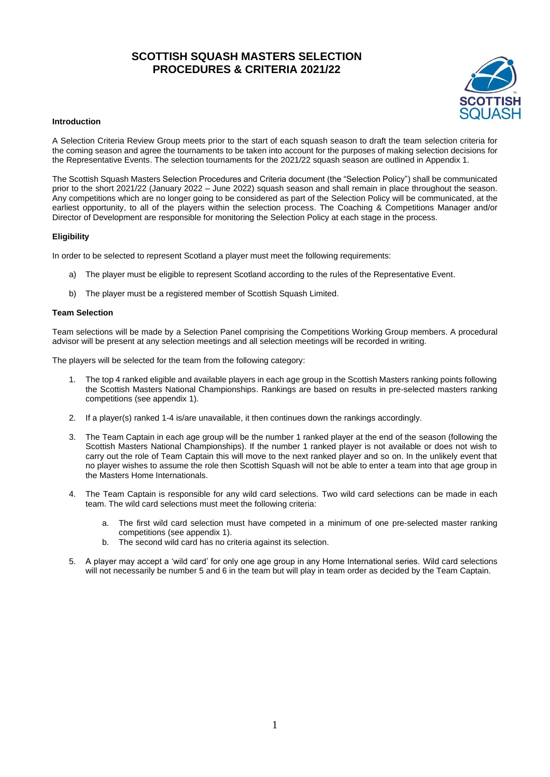# **SCOTTISH SQUASH MASTERS SELECTION PROCEDURES & CRITERIA 2021/22**



#### **Introduction**

A Selection Criteria Review Group meets prior to the start of each squash season to draft the team selection criteria for the coming season and agree the tournaments to be taken into account for the purposes of making selection decisions for the Representative Events. The selection tournaments for the 2021/22 squash season are outlined in Appendix 1.

The Scottish Squash Masters Selection Procedures and Criteria document (the "Selection Policy") shall be communicated prior to the short 2021/22 (January 2022 – June 2022) squash season and shall remain in place throughout the season. Any competitions which are no longer going to be considered as part of the Selection Policy will be communicated, at the earliest opportunity, to all of the players within the selection process. The Coaching & Competitions Manager and/or Director of Development are responsible for monitoring the Selection Policy at each stage in the process.

## **Eligibility**

In order to be selected to represent Scotland a player must meet the following requirements:

- a) The player must be eligible to represent Scotland according to the rules of the Representative Event.
- b) The player must be a registered member of Scottish Squash Limited.

## **Team Selection**

Team selections will be made by a Selection Panel comprising the Competitions Working Group members. A procedural advisor will be present at any selection meetings and all selection meetings will be recorded in writing.

The players will be selected for the team from the following category:

- 1. The top 4 ranked eligible and available players in each age group in the Scottish Masters ranking points following the Scottish Masters National Championships. Rankings are based on results in pre-selected masters ranking competitions (see appendix 1).
- 2. If a player(s) ranked 1-4 is/are unavailable, it then continues down the rankings accordingly.
- 3. The Team Captain in each age group will be the number 1 ranked player at the end of the season (following the Scottish Masters National Championships). If the number 1 ranked player is not available or does not wish to carry out the role of Team Captain this will move to the next ranked player and so on. In the unlikely event that no player wishes to assume the role then Scottish Squash will not be able to enter a team into that age group in the Masters Home Internationals.
- 4. The Team Captain is responsible for any wild card selections. Two wild card selections can be made in each team. The wild card selections must meet the following criteria:
	- a. The first wild card selection must have competed in a minimum of one pre-selected master ranking competitions (see appendix 1).
	- b. The second wild card has no criteria against its selection.
- 5. A player may accept a 'wild card' for only one age group in any Home International series. Wild card selections will not necessarily be number 5 and 6 in the team but will play in team order as decided by the Team Captain.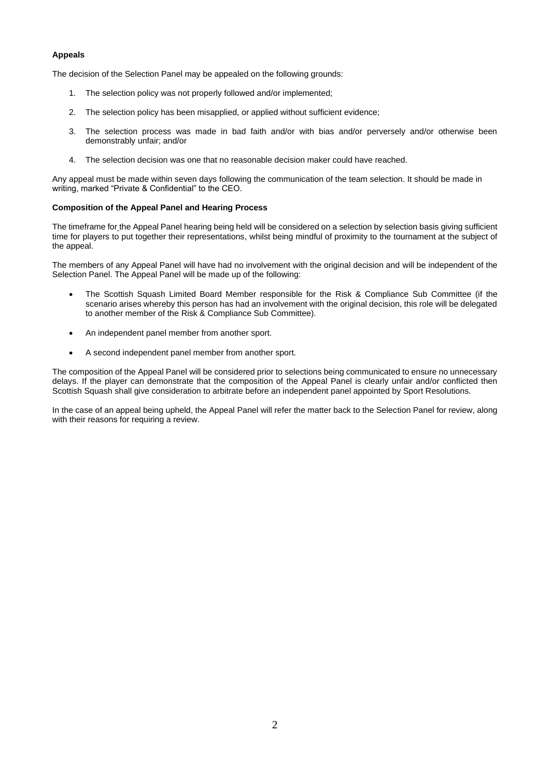## **Appeals**

The decision of the Selection Panel may be appealed on the following grounds:

- 1. The selection policy was not properly followed and/or implemented;
- 2. The selection policy has been misapplied, or applied without sufficient evidence;
- 3. The selection process was made in bad faith and/or with bias and/or perversely and/or otherwise been demonstrably unfair; and/or
- 4. The selection decision was one that no reasonable decision maker could have reached.

Any appeal must be made within seven days following the communication of the team selection. It should be made in writing, marked "Private & Confidential" to the CEO.

## **Composition of the Appeal Panel and Hearing Process**

The timeframe for the Appeal Panel hearing being held will be considered on a selection by selection basis giving sufficient time for players to put together their representations, whilst being mindful of proximity to the tournament at the subject of the appeal.

The members of any Appeal Panel will have had no involvement with the original decision and will be independent of the Selection Panel. The Appeal Panel will be made up of the following:

- The Scottish Squash Limited Board Member responsible for the Risk & Compliance Sub Committee (if the scenario arises whereby this person has had an involvement with the original decision, this role will be delegated to another member of the Risk & Compliance Sub Committee).
- An independent panel member from another sport.
- A second independent panel member from another sport.

The composition of the Appeal Panel will be considered prior to selections being communicated to ensure no unnecessary delays. If the player can demonstrate that the composition of the Appeal Panel is clearly unfair and/or conflicted then Scottish Squash shall give consideration to arbitrate before an independent panel appointed by Sport Resolutions.

In the case of an appeal being upheld, the Appeal Panel will refer the matter back to the Selection Panel for review, along with their reasons for requiring a review.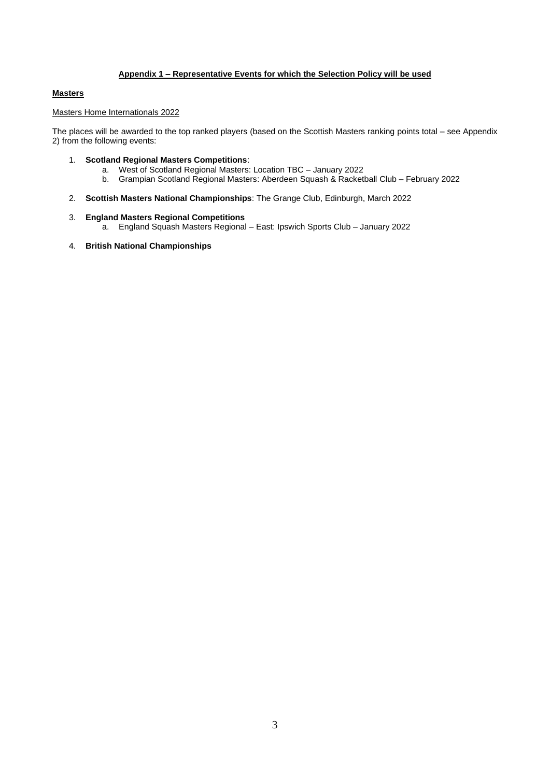## **Appendix 1 – Representative Events for which the Selection Policy will be used**

## **Masters**

# Masters Home Internationals 2022

The places will be awarded to the top ranked players (based on the Scottish Masters ranking points total – see Appendix 2) from the following events:

- 1. **Scotland Regional Masters Competitions**:
	- a. West of Scotland Regional Masters: Location TBC January 2022
	- b. Grampian Scotland Regional Masters: Aberdeen Squash & Racketball Club February 2022
- 2. **Scottish Masters National Championships**: The Grange Club, Edinburgh, March 2022

## 3. **England Masters Regional Competitions**

- a. England Squash Masters Regional East: Ipswich Sports Club January 2022
- 4. **British National Championships**